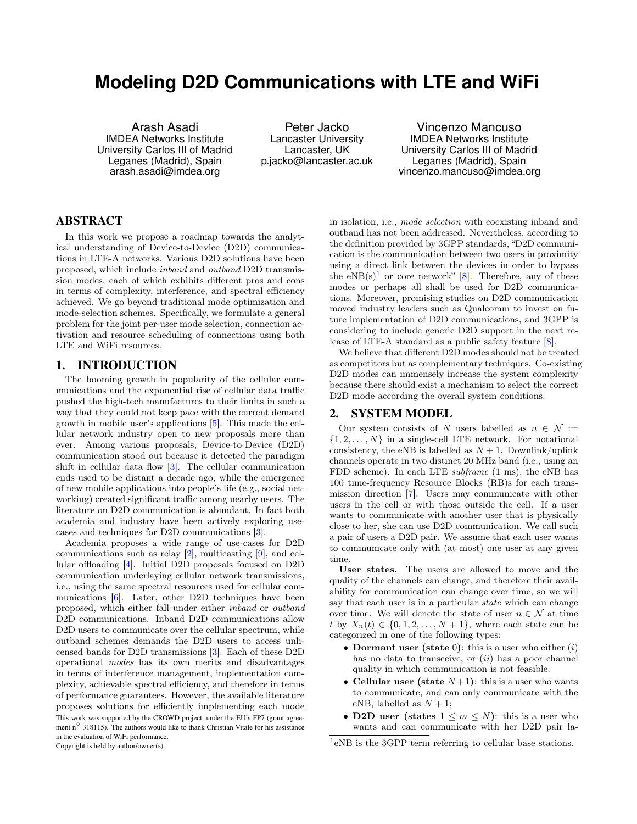# **Modeling D2D Communications with LTE and WiFi**

Arash Asadi IMDEA Networks Institute University Carlos III of Madrid Leganes (Madrid), Spain arash.asadi@imdea.org

Peter Jacko Lancaster University Lancaster, UK p.jacko@lancaster.ac.uk

Vincenzo Mancuso IMDEA Networks Institute University Carlos III of Madrid Leganes (Madrid), Spain vincenzo.mancuso@imdea.org

# ABSTRACT

In this work we propose a roadmap towards the analytical understanding of Device-to-Device (D2D) communications in LTE-A networks. Various D2D solutions have been proposed, which include inband and outband D2D transmission modes, each of which exhibits different pros and cons in terms of complexity, interference, and spectral efficiency achieved. We go beyond traditional mode optimization and mode-selection schemes. Specifically, we formulate a general problem for the joint per-user mode selection, connection activation and resource scheduling of connections using both LTE and WiFi resources.

### 1. INTRODUCTION

The booming growth in popularity of the cellular communications and the exponential rise of cellular data traffic pushed the high-tech manufactures to their limits in such a way that they could not keep pace with the current demand growth in mobile user's applications [\[5\]](#page-2-0). This made the cellular network industry open to new proposals more than ever. Among various proposals, Device-to-Device (D2D) communication stood out because it detected the paradigm shift in cellular data flow [\[3\]](#page-2-1). The cellular communication ends used to be distant a decade ago, while the emergence of new mobile applications into people's life (e.g., social networking) created significant traffic among nearby users. The literature on D2D communication is abundant. In fact both academia and industry have been actively exploring usecases and techniques for D2D communications [\[3\]](#page-2-1).

Academia proposes a wide range of use-cases for D2D communications such as relay [\[2\]](#page-2-2), multicasting [\[9\]](#page-2-3), and cellular offloading [\[4\]](#page-2-4). Initial D2D proposals focused on D2D communication underlaying cellular network transmissions, i.e., using the same spectral resources used for cellular communications [\[6\]](#page-2-5). Later, other D2D techniques have been proposed, which either fall under either inband or outband D2D communications. Inband D2D communications allow D2D users to communicate over the cellular spectrum, while outband schemes demands the D2D users to access unlicensed bands for D2D transmissions [\[3\]](#page-2-1). Each of these D2D operational modes has its own merits and disadvantages in terms of interference management, implementation complexity, achievable spectral efficiency, and therefore in terms of performance guarantees. However, the available literature proposes solutions for efficiently implementing each mode This work was supported by the CROWD project, under the EU's FP7 (grant agreement n<sup>o</sup> 318115). The authors would like to thank Christian Vitale for his assistance in the evaluation of WiFi performance. Copyright is held by author/owner(s).

in isolation, i.e., mode selection with coexisting inband and outband has not been addressed. Nevertheless, according to the definition provided by 3GPP standards, "D2D communication is the communication between two users in proximity using a direct link between the devices in order to bypass the  $eNB(s)^1$  $eNB(s)^1$  or core network" [\[8\]](#page-2-6). Therefore, any of these modes or perhaps all shall be used for D2D communications. Moreover, promising studies on D2D communication moved industry leaders such as Qualcomm to invest on future implementation of D2D communications, and 3GPP is considering to include generic D2D support in the next release of LTE-A standard as a public safety feature [\[8\]](#page-2-6).

We believe that different D2D modes should not be treated as competitors but as complementary techniques. Co-existing D2D modes can immensely increase the system complexity because there should exist a mechanism to select the correct D2D mode according the overall system conditions.

#### 2. SYSTEM MODEL

Our system consists of N users labelled as  $n \in \mathcal{N} :=$  $\{1, 2, \ldots, N\}$  in a single-cell LTE network. For notational consistency, the eNB is labelled as  $N + 1$ . Downlink/uplink channels operate in two distinct 20 MHz band (i.e., using an FDD scheme). In each LTE subframe (1 ms), the eNB has 100 time-frequency Resource Blocks (RB)s for each transmission direction [\[7\]](#page-2-7). Users may communicate with other users in the cell or with those outside the cell. If a user wants to communicate with another user that is physically close to her, she can use D2D communication. We call such a pair of users a D2D pair. We assume that each user wants to communicate only with (at most) one user at any given time.

User states. The users are allowed to move and the quality of the channels can change, and therefore their availability for communication can change over time, so we will say that each user is in a particular *state* which can change over time. We will denote the state of user  $n \in \mathcal{N}$  at time t by  $X_n(t) \in \{0, 1, 2, \ldots, N+1\}$ , where each state can be categorized in one of the following types:

- Dormant user (state 0): this is a user who either  $(i)$ has no data to transceive, or  $(ii)$  has a poor channel quality in which communication is not feasible.
- Cellular user (state  $N+1$ ): this is a user who wants to communicate, and can only communicate with the eNB, labelled as  $N + 1$ ;
- D2D user (states  $1 \leq m \leq N$ ): this is a user who wants and can communicate with her D2D pair la-

<span id="page-0-0"></span><sup>&</sup>lt;sup>1</sup>eNB is the 3GPP term referring to cellular base stations.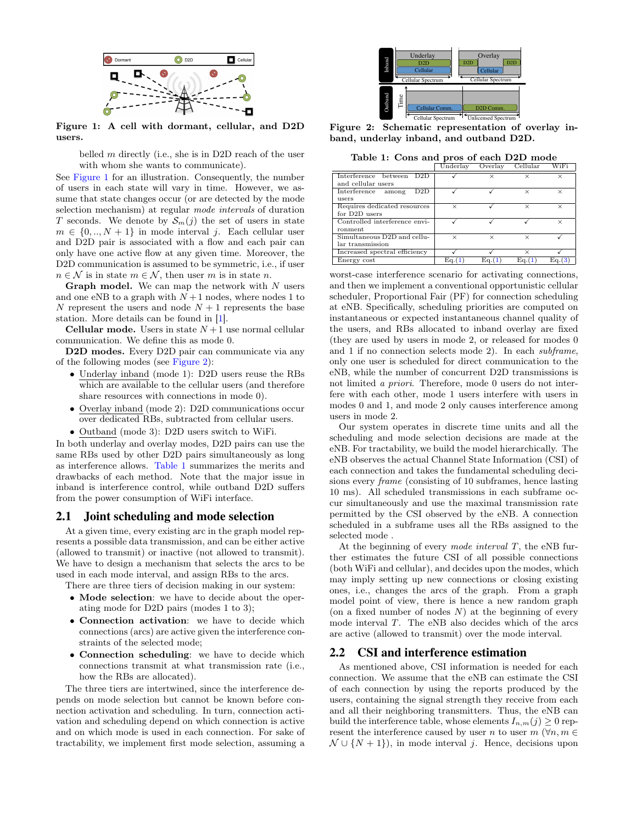

Figure 1: A cell with dormant, cellular, and D2D users.

<span id="page-1-0"></span>belled  $m$  directly (i.e., she is in D2D reach of the user with whom she wants to communicate).

See [Figure 1](#page-1-0) for an illustration. Consequently, the number of users in each state will vary in time. However, we assume that state changes occur (or are detected by the mode selection mechanism) at regular mode intervals of duration T seconds. We denote by  $S_m(j)$  the set of users in state  $m \in \{0, ..., N+1\}$  in mode interval j. Each cellular user and D2D pair is associated with a flow and each pair can only have one active flow at any given time. Moreover, the D2D communication is assumed to be symmetric, i.e., if user  $n \in \mathcal{N}$  is in state  $m \in \mathcal{N}$ , then user m is in state n.

**Graph model.** We can map the network with  $N$  users and one eNB to a graph with  $N+1$  nodes, where nodes 1 to N represent the users and node  $N+1$  represents the base station. More details can be found in [\[1\]](#page-2-8).

**Cellular mode.** Users in state  $N+1$  use normal cellular communication. We define this as mode 0.

D2D modes. Every D2D pair can communicate via any of the following modes (see [Figure 2\)](#page-1-1):

- Underlay inband (mode 1): D2D users reuse the RBs which are available to the cellular users (and therefore share resources with connections in mode 0).
- Overlay inband (mode 2): D2D communications occur over dedicated RBs, subtracted from cellular users.
- Outband (mode 3): D2D users switch to WiFi.

In both underlay and overlay modes, D2D pairs can use the same RBs used by other D2D pairs simultaneously as long as interference allows. [Table 1](#page-1-2) summarizes the merits and drawbacks of each method. Note that the major issue in inband is interference control, while outband D2D suffers from the power consumption of WiFi interface.

#### 2.1 Joint scheduling and mode selection

At a given time, every existing arc in the graph model represents a possible data transmission, and can be either active (allowed to transmit) or inactive (not allowed to transmit). We have to design a mechanism that selects the arcs to be used in each mode interval, and assign RBs to the arcs.

There are three tiers of decision making in our system:

- Mode selection: we have to decide about the operating mode for D2D pairs (modes 1 to 3);
- Connection activation: we have to decide which connections (arcs) are active given the interference constraints of the selected mode;
- Connection scheduling: we have to decide which connections transmit at what transmission rate (i.e., how the RBs are allocated).

The three tiers are intertwined, since the interference depends on mode selection but cannot be known before connection activation and scheduling. In turn, connection activation and scheduling depend on which connection is active and on which mode is used in each connection. For sake of tractability, we implement first mode selection, assuming a



Figure 2: Schematic representation of overlay inband, underlay inband, and outband D2D.

<span id="page-1-2"></span><span id="page-1-1"></span>

| Table 1: Cons and pros of each D2D mode |  |  |  |  |
|-----------------------------------------|--|--|--|--|
|-----------------------------------------|--|--|--|--|

|                                             | Underlay | Overlay  | Cellular | WiFi     |
|---------------------------------------------|----------|----------|----------|----------|
| Interference between D2D                    |          | ×        | ×        | $\times$ |
| and cellular users                          |          |          |          |          |
| D2D<br>Interference<br>among                |          |          | ×        | $\times$ |
| <i>users</i>                                |          |          |          |          |
| Requires dedicated resources                | $\times$ |          | ×        | $\times$ |
| for D <sub>2D</sub> users                   |          |          |          |          |
| Controlled interference envi-               |          |          |          | $\times$ |
| ronment                                     |          |          |          |          |
| $Simultaneous$ $\overline{D2D}$ and $cellu$ | $\times$ | $\times$ | ×        |          |
| lar transmission                            |          |          |          |          |
| Increased spectral efficiency               |          |          | ×        |          |
| Energy cost                                 | Ea.(     | Ea.(1    | Ea.(     | Ea.(3)   |

worst-case interference scenario for activating connections, and then we implement a conventional opportunistic cellular scheduler, Proportional Fair (PF) for connection scheduling at eNB. Specifically, scheduling priorities are computed on instantaneous or expected instantaneous channel quality of the users, and RBs allocated to inband overlay are fixed (they are used by users in mode 2, or released for modes 0 and 1 if no connection selects mode 2). In each subframe, only one user is scheduled for direct communication to the eNB, while the number of concurrent D2D transmissions is not limited a priori. Therefore, mode 0 users do not interfere with each other, mode 1 users interfere with users in modes 0 and 1, and mode 2 only causes interference among users in mode 2.

Our system operates in discrete time units and all the scheduling and mode selection decisions are made at the eNB. For tractability, we build the model hierarchically. The eNB observes the actual Channel State Information (CSI) of each connection and takes the fundamental scheduling decisions every frame (consisting of 10 subframes, hence lasting 10 ms). All scheduled transmissions in each subframe occur simultaneously and use the maximal transmission rate permitted by the CSI observed by the eNB. A connection scheduled in a subframe uses all the RBs assigned to the selected mode .

At the beginning of every mode interval  $T$ , the eNB further estimates the future CSI of all possible connections (both WiFi and cellular), and decides upon the modes, which may imply setting up new connections or closing existing ones, i.e., changes the arcs of the graph. From a graph model point of view, there is hence a new random graph (on a fixed number of nodes  $N$ ) at the beginning of every mode interval T. The eNB also decides which of the arcs are active (allowed to transmit) over the mode interval.

#### 2.2 CSI and interference estimation

As mentioned above, CSI information is needed for each connection. We assume that the eNB can estimate the CSI of each connection by using the reports produced by the users, containing the signal strength they receive from each and all their neighboring transmitters. Thus, the eNB can build the interference table, whose elements  $I_{n,m}(j) \geq 0$  represent the interference caused by user n to user  $m(\forall n, m \in$  $\mathcal{N} \cup \{N+1\}$ , in mode interval j. Hence, decisions upon